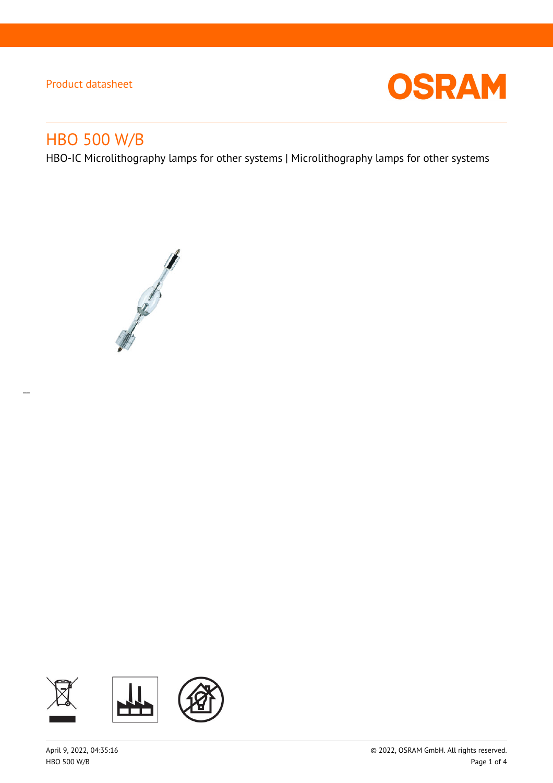

# HBO 500 W/B

 $\overline{a}$ 

HBO-IC Microlithography lamps for other systems | Microlithography lamps for other systems



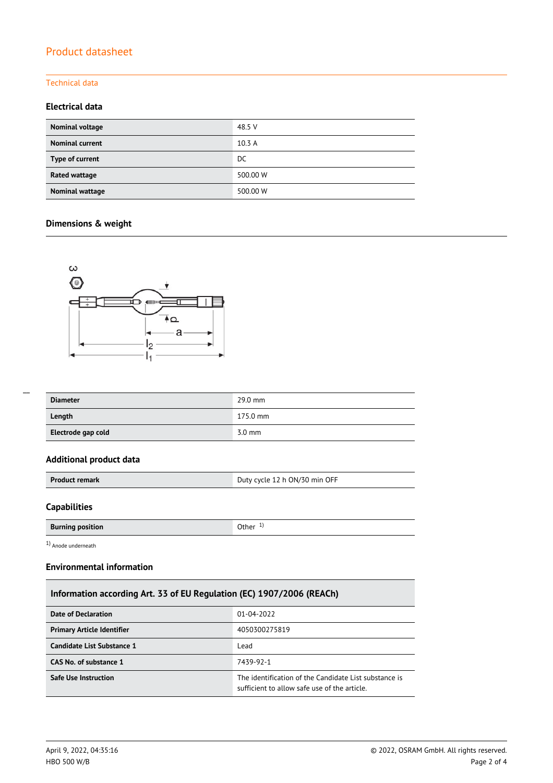### Technical data

## **Electrical data**

| Nominal voltage        | 48.5 V   |
|------------------------|----------|
| <b>Nominal current</b> | 10.3A    |
| Type of current        | DC       |
| Rated wattage          | 500.00 W |
| Nominal wattage        | 500.00 W |

## **Dimensions & weight**



| <b>Diameter</b> | 29.0 mm  |
|-----------------|----------|
| Length          | 175.0 mm |

**Electrode gap cold** 3.0 mm

### **Additional product data**

| Duty cycle 12 h ON/30 min OFF<br><b>Product remark</b> |
|--------------------------------------------------------|
|--------------------------------------------------------|

## **Capabilities**

 $\overline{a}$ 

| <b>Burning position</b> | )ther |
|-------------------------|-------|

1) Anode underneath

## **Environmental information**

## **Information according Art. 33 of EU Regulation (EC) 1907/2006 (REACh)**

| Date of Declaration               | 01-04-2022                                                                                            |
|-----------------------------------|-------------------------------------------------------------------------------------------------------|
| <b>Primary Article Identifier</b> | 4050300275819                                                                                         |
| Candidate List Substance 1        | Lead                                                                                                  |
| CAS No. of substance 1            | 7439-92-1                                                                                             |
| <b>Safe Use Instruction</b>       | The identification of the Candidate List substance is<br>sufficient to allow safe use of the article. |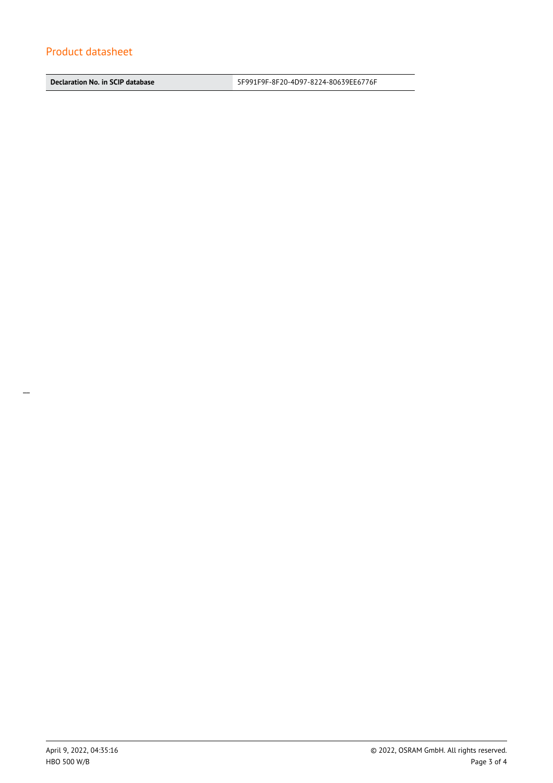**Declaration No. in SCIP database** 5F991F9F-8F20-4D97-8224-80639EE6776F